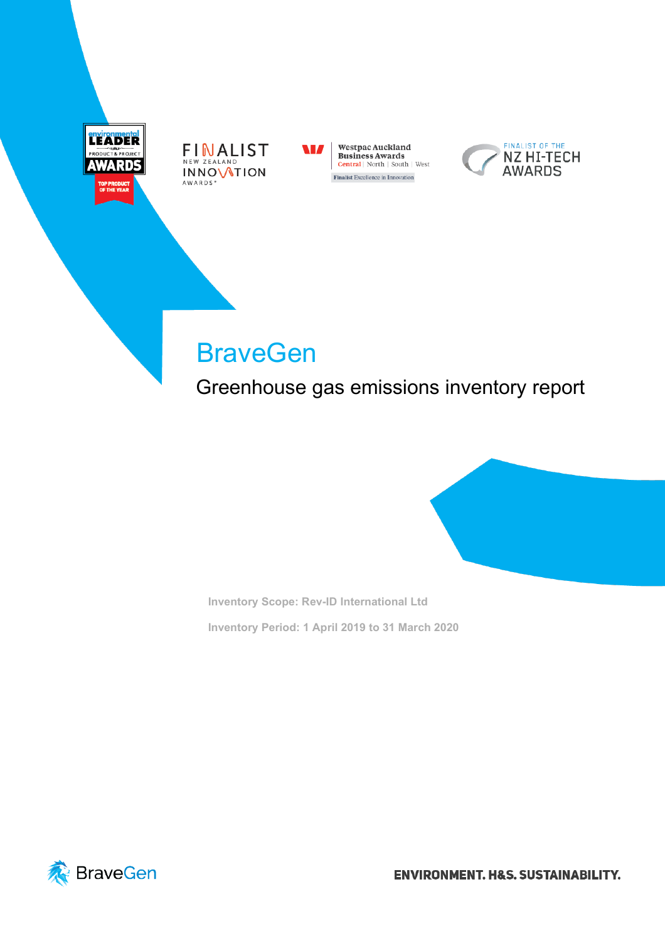







# **BraveGen**

Greenhouse gas emissions inventory report

**Inventory Scope: Rev-ID International Ltd Inventory Period: 1 April 2019 to 31 March 2020**



**ENVIRONMENT. H&S. SUSTAINABILITY.**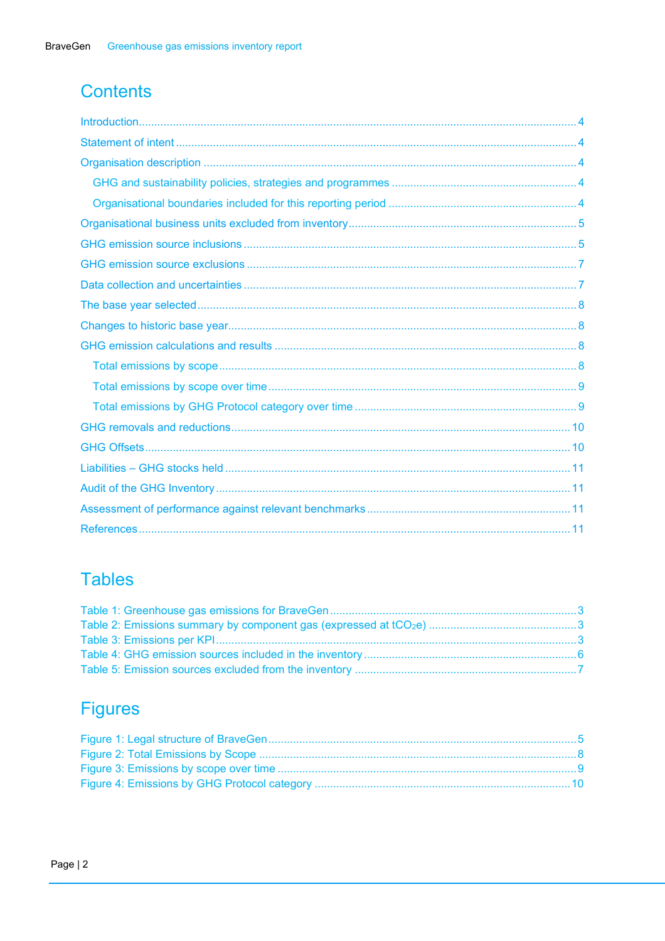# **Contents**

# **Tables**

# **Figures**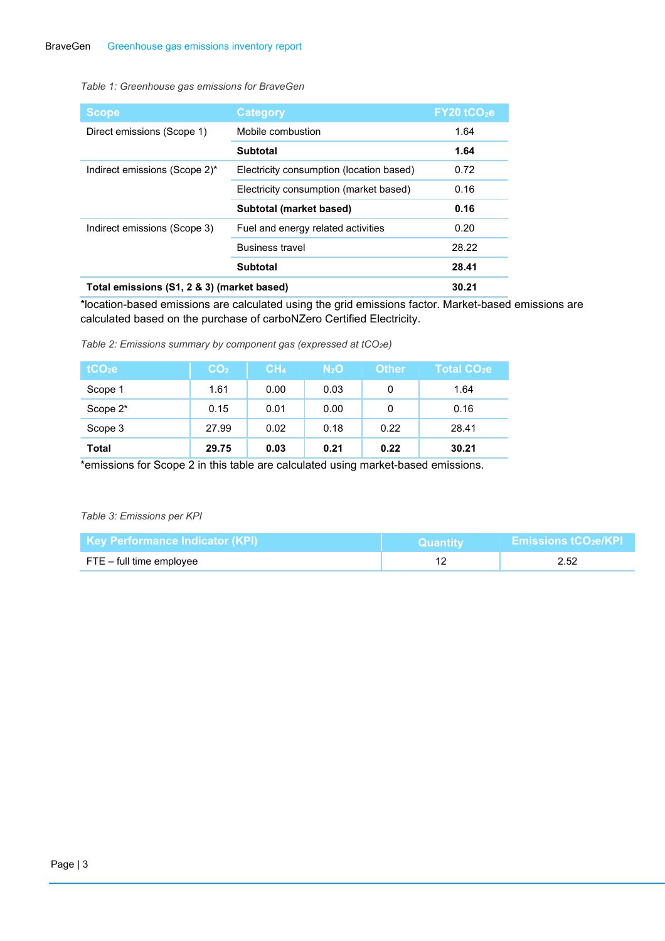#### <span id="page-2-0"></span>*Table 1: Greenhouse gas emissions for BraveGen*

| <b>Scope</b>                               | <b>Category</b>                          | $FY20$ tCO <sub>2</sub> e |
|--------------------------------------------|------------------------------------------|---------------------------|
| Direct emissions (Scope 1)                 | Mobile combustion                        | 1.64                      |
|                                            | <b>Subtotal</b>                          | 1.64                      |
| Indirect emissions (Scope 2)*              | Electricity consumption (location based) | 0.72                      |
|                                            | Electricity consumption (market based)   | 0.16                      |
|                                            | Subtotal (market based)                  | 0.16                      |
| Indirect emissions (Scope 3)               | Fuel and energy related activities       | 0.20                      |
|                                            | <b>Business travel</b>                   | 28.22                     |
|                                            | <b>Subtotal</b>                          | 28.41                     |
| Total emissions (S1, 2 & 3) (market based) | 30.21                                    |                           |

\*location-based emissions are calculated using the grid emissions factor. Market-based emissions are calculated based on the purchase of carboNZero Certified Electricity.

<span id="page-2-1"></span>*Table 2: Emissions summary by component gas (expressed at tCO2e)*

| tCO <sub>2</sub> e | CO <sub>2</sub> | CH <sub>4</sub> | N <sub>2</sub> O | <b>Other</b> | Total CO <sub>2</sub> e |
|--------------------|-----------------|-----------------|------------------|--------------|-------------------------|
| Scope 1            | 1.61            | 0.00            | 0.03             | 0            | 1.64                    |
| Scope 2*           | 0.15            | 0.01            | 0.00             | 0            | 0.16                    |
| Scope 3            | 27.99           | 0.02            | 0.18             | 0.22         | 28.41                   |
| <b>Total</b>       | 29.75           | 0.03            | 0.21             | 0.22         | 30.21                   |

\*emissions for Scope 2 in this table are calculated using market-based emissions.

#### <span id="page-2-2"></span>*Table 3: Emissions per KPI*

| l Kev Performance Indicator (KPI) i | ⊑Quantitv | $\times$ Emissions tCO $_2$ e/KPI $\times$ |  |
|-------------------------------------|-----------|--------------------------------------------|--|
| FTE – full time employee            |           |                                            |  |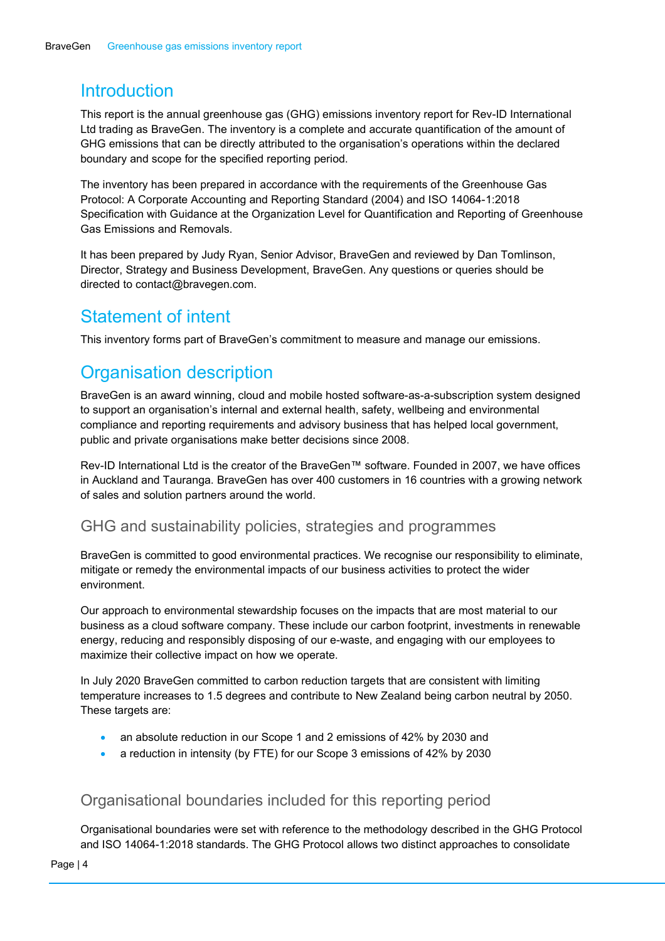### <span id="page-3-0"></span>**Introduction**

This report is the annual greenhouse gas (GHG) emissions inventory report for Rev-ID International Ltd trading as BraveGen. The inventory is a complete and accurate quantification of the amount of GHG emissions that can be directly attributed to the organisation's operations within the declared boundary and scope for the specified reporting period.

The inventory has been prepared in accordance with the requirements of the Greenhouse Gas Protocol: A Corporate Accounting and Reporting Standard (2004) and ISO 14064-1:2018 Specification with Guidance at the Organization Level for Quantification and Reporting of Greenhouse Gas Emissions and Removals.

It has been prepared by Judy Ryan, Senior Advisor, BraveGen and reviewed by Dan Tomlinson, Director, Strategy and Business Development, BraveGen. Any questions or queries should be directed to contact@bravegen.com.

### <span id="page-3-1"></span>Statement of intent

This inventory forms part of BraveGen's commitment to measure and manage our emissions.

# <span id="page-3-2"></span>Organisation description

BraveGen is an award winning, cloud and mobile hosted software-as-a-subscription system designed to support an organisation's internal and external health, safety, wellbeing and environmental compliance and reporting requirements and advisory business that has helped local government, public and private organisations make better decisions since 2008.

Rev-ID International Ltd is the creator of the BraveGen™ software. Founded in 2007, we have offices in Auckland and Tauranga. BraveGen has over 400 customers in 16 countries with a growing network of sales and solution partners around the world.

#### <span id="page-3-3"></span>GHG and sustainability policies, strategies and programmes

BraveGen is committed to good environmental practices. We recognise our responsibility to eliminate, mitigate or remedy the environmental impacts of our business activities to protect the wider environment.

Our approach to environmental stewardship focuses on the impacts that are most material to our business as a cloud software company. These include our carbon footprint, investments in renewable energy, reducing and responsibly disposing of our e-waste, and engaging with our employees to maximize their collective impact on how we operate.

In July 2020 BraveGen committed to carbon reduction targets that are consistent with limiting temperature increases to 1.5 degrees and contribute to New Zealand being carbon neutral by 2050. These targets are:

- an absolute reduction in our Scope 1 and 2 emissions of 42% by 2030 and
- a reduction in intensity (by FTE) for our Scope 3 emissions of 42% by 2030

#### <span id="page-3-4"></span>Organisational boundaries included for this reporting period

Organisational boundaries were set with reference to the methodology described in the GHG Protocol and ISO 14064-1:2018 standards. The GHG Protocol allows two distinct approaches to consolidate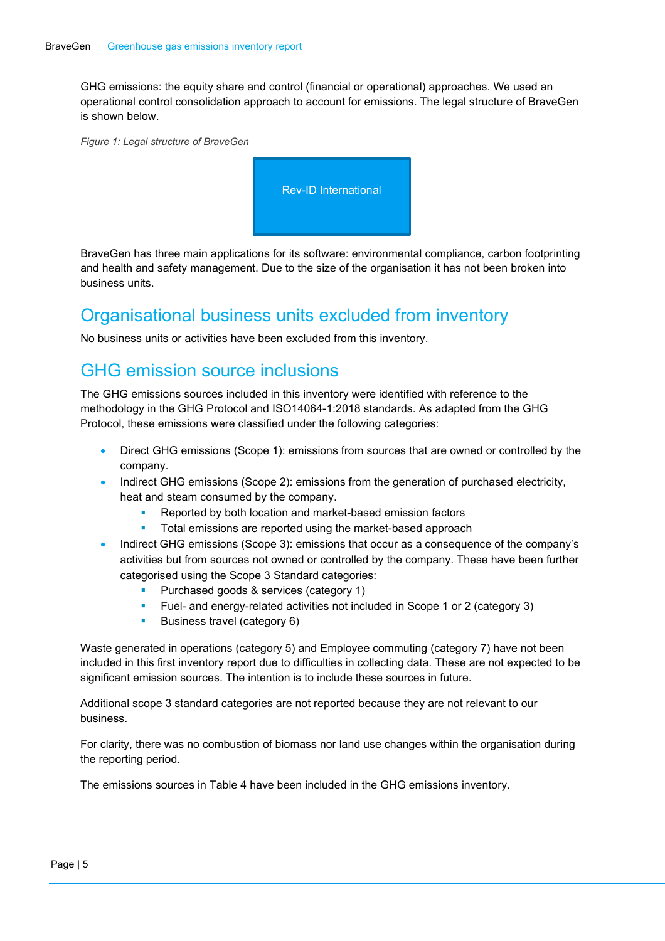GHG emissions: the equity share and control (financial or operational) approaches. We used an operational control consolidation approach to account for emissions. The legal structure of BraveGen is shown below.

<span id="page-4-2"></span>*Figure 1: Legal structure of BraveGen*



BraveGen has three main applications for its software: environmental compliance, carbon footprinting and health and safety management. Due to the size of the organisation it has not been broken into business units.

## <span id="page-4-0"></span>Organisational business units excluded from inventory

No business units or activities have been excluded from this inventory.

## <span id="page-4-1"></span>GHG emission source inclusions

The GHG emissions sources included in this inventory were identified with reference to the methodology in the GHG Protocol and ISO14064-1:2018 standards. As adapted from the GHG Protocol, these emissions were classified under the following categories:

- Direct GHG emissions (Scope 1): emissions from sources that are owned or controlled by the company.
- Indirect GHG emissions (Scope 2): emissions from the generation of purchased electricity, heat and steam consumed by the company.
	- Reported by both location and market-based emission factors
	- **Total emissions are reported using the market-based approach**
- Indirect GHG emissions (Scope 3): emissions that occur as a consequence of the company's activities but from sources not owned or controlled by the company. These have been further categorised using the Scope 3 Standard categories:
	- Purchased goods & services (category 1)
	- Fuel- and energy-related activities not included in Scope 1 or 2 (category 3)
	- Business travel (category 6)

Waste generated in operations (category 5) and Employee commuting (category 7) have not been included in this first inventory report due to difficulties in collecting data. These are not expected to be significant emission sources. The intention is to include these sources in future.

Additional scope 3 standard categories are not reported because they are not relevant to our business.

For clarity, there was no combustion of biomass nor land use changes within the organisation during the reporting period.

The emissions sources in [Table 4](#page-5-0) have been included in the GHG emissions inventory.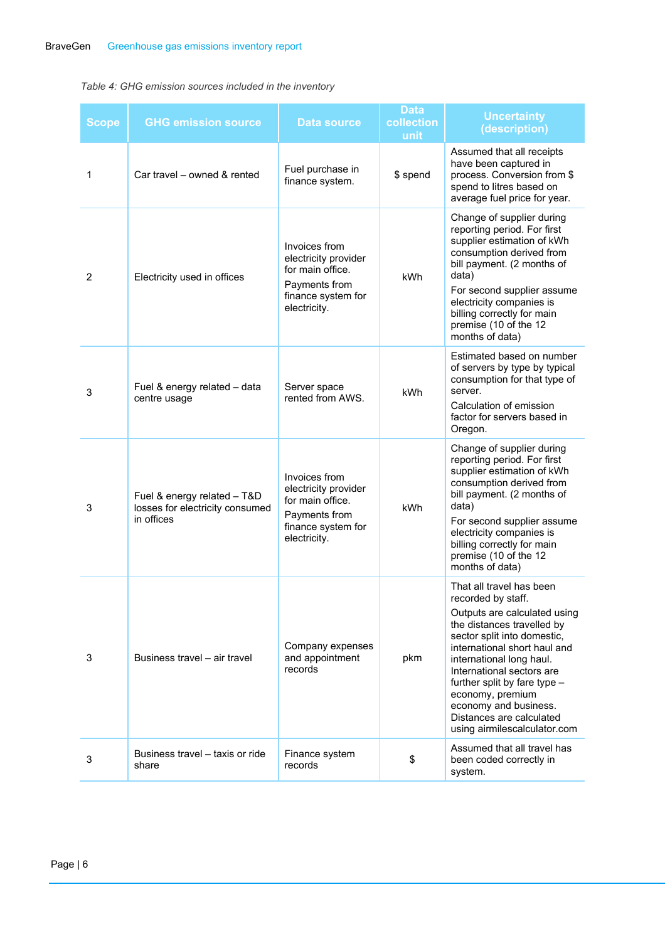#### <span id="page-5-0"></span>*Table 4: GHG emission sources included in the inventory*

| <b>Scope</b>   | <b>GHG emission source</b>                                                   | Data source                                                                                                      | <b>Data</b><br>collection<br>unit | <b>Uncertainty</b><br>(description)                                                                                                                                                                                                                                                                                                                                           |
|----------------|------------------------------------------------------------------------------|------------------------------------------------------------------------------------------------------------------|-----------------------------------|-------------------------------------------------------------------------------------------------------------------------------------------------------------------------------------------------------------------------------------------------------------------------------------------------------------------------------------------------------------------------------|
| 1              | Car travel - owned & rented                                                  | Fuel purchase in<br>finance system.                                                                              | \$ spend                          | Assumed that all receipts<br>have been captured in<br>process. Conversion from \$<br>spend to litres based on<br>average fuel price for year.                                                                                                                                                                                                                                 |
| $\overline{2}$ | Electricity used in offices                                                  | Invoices from<br>electricity provider<br>for main office.<br>Payments from<br>finance system for<br>electricity. | kWh                               | Change of supplier during<br>reporting period. For first<br>supplier estimation of kWh<br>consumption derived from<br>bill payment. (2 months of<br>data)<br>For second supplier assume<br>electricity companies is<br>billing correctly for main<br>premise (10 of the 12<br>months of data)                                                                                 |
| 3              | Fuel & energy related - data<br>centre usage                                 | Server space<br>rented from AWS.                                                                                 | kWh                               | Estimated based on number<br>of servers by type by typical<br>consumption for that type of<br>server.<br>Calculation of emission<br>factor for servers based in<br>Oregon.                                                                                                                                                                                                    |
| 3              | Fuel & energy related - T&D<br>losses for electricity consumed<br>in offices | Invoices from<br>electricity provider<br>for main office.<br>Payments from<br>finance system for<br>electricity. | kWh                               | Change of supplier during<br>reporting period. For first<br>supplier estimation of kWh<br>consumption derived from<br>bill payment. (2 months of<br>data)<br>For second supplier assume<br>electricity companies is<br>billing correctly for main<br>premise (10 of the 12<br>months of data)                                                                                 |
| 3              | Business travel - air travel                                                 | Company expenses<br>and appointment<br>records                                                                   | pkm                               | That all travel has been<br>recorded by staff.<br>Outputs are calculated using<br>the distances travelled by<br>sector split into domestic,<br>international short haul and<br>international long haul.<br>International sectors are<br>further split by fare type -<br>economy, premium<br>economy and business.<br>Distances are calculated<br>using airmilescalculator.com |
| 3              | Business travel – taxis or ride<br>share                                     | Finance system<br>records                                                                                        | \$                                | Assumed that all travel has<br>been coded correctly in<br>system.                                                                                                                                                                                                                                                                                                             |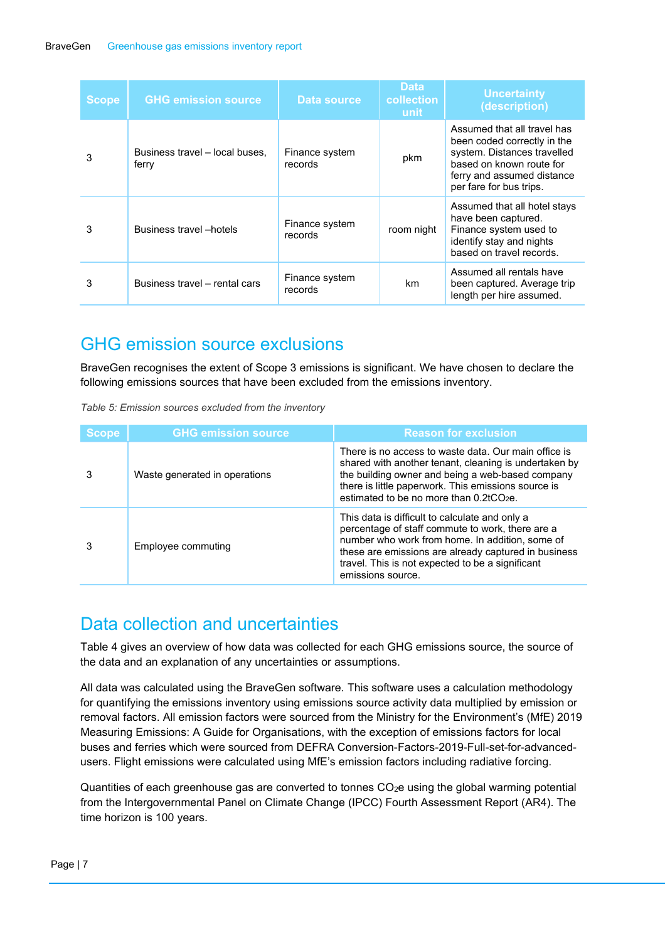| <b>Scope</b> | <b>GHG emission source</b>              | Data source               | <b>Data</b><br>collection<br>unit | <b>Uncertainty</b><br>(description)                                                                                                                                            |
|--------------|-----------------------------------------|---------------------------|-----------------------------------|--------------------------------------------------------------------------------------------------------------------------------------------------------------------------------|
| 3            | Business travel - local buses,<br>ferry | Finance system<br>records | pkm                               | Assumed that all travel has<br>been coded correctly in the<br>system. Distances travelled<br>based on known route for<br>ferry and assumed distance<br>per fare for bus trips. |
| 3            | <b>Business travel</b> – hotels         | Finance system<br>records | room night                        | Assumed that all hotel stays<br>have been captured.<br>Finance system used to<br>identify stay and nights<br>based on travel records.                                          |
| 3            | Business travel - rental cars           | Finance system<br>records | km.                               | Assumed all rentals have<br>been captured. Average trip<br>length per hire assumed.                                                                                            |

### <span id="page-6-0"></span>GHG emission source exclusions

BraveGen recognises the extent of Scope 3 emissions is significant. We have chosen to declare the following emissions sources that have been excluded from the emissions inventory.

<span id="page-6-2"></span>

| Table 5: Emission sources excluded from the inventory |  |
|-------------------------------------------------------|--|
|-------------------------------------------------------|--|

| <b>Scope</b> | <b>GHG emission source</b>    | <b>Reason for exclusion</b>                                                                                                                                                                                                                                                            |
|--------------|-------------------------------|----------------------------------------------------------------------------------------------------------------------------------------------------------------------------------------------------------------------------------------------------------------------------------------|
|              | Waste generated in operations | There is no access to waste data. Our main office is<br>shared with another tenant, cleaning is undertaken by<br>the building owner and being a web-based company<br>there is little paperwork. This emissions source is<br>estimated to be no more than 0.2tCO <sub>2</sub> e.        |
|              | Employee commuting            | This data is difficult to calculate and only a<br>percentage of staff commute to work, there are a<br>number who work from home. In addition, some of<br>these are emissions are already captured in business<br>travel. This is not expected to be a significant<br>emissions source. |

### <span id="page-6-1"></span>Data collection and uncertainties

[Table 4](#page-5-0) gives an overview of how data was collected for each GHG emissions source, the source of the data and an explanation of any uncertainties or assumptions.

All data was calculated using the BraveGen software. This software uses a calculation methodology for quantifying the emissions inventory using emissions source activity data multiplied by emission or removal factors. All emission factors were sourced from the Ministry for the Environment's (MfE) 2019 Measuring Emissions: A Guide for Organisations, with the exception of emissions factors for local buses and ferries which were sourced from DEFRA Conversion-Factors-2019-Full-set-for-advancedusers. Flight emissions were calculated using MfE's emission factors including radiative forcing.

Quantities of each greenhouse gas are converted to tonnes CO<sub>2</sub>e using the global warming potential from the Intergovernmental Panel on Climate Change (IPCC) Fourth Assessment Report (AR4). The time horizon is 100 years.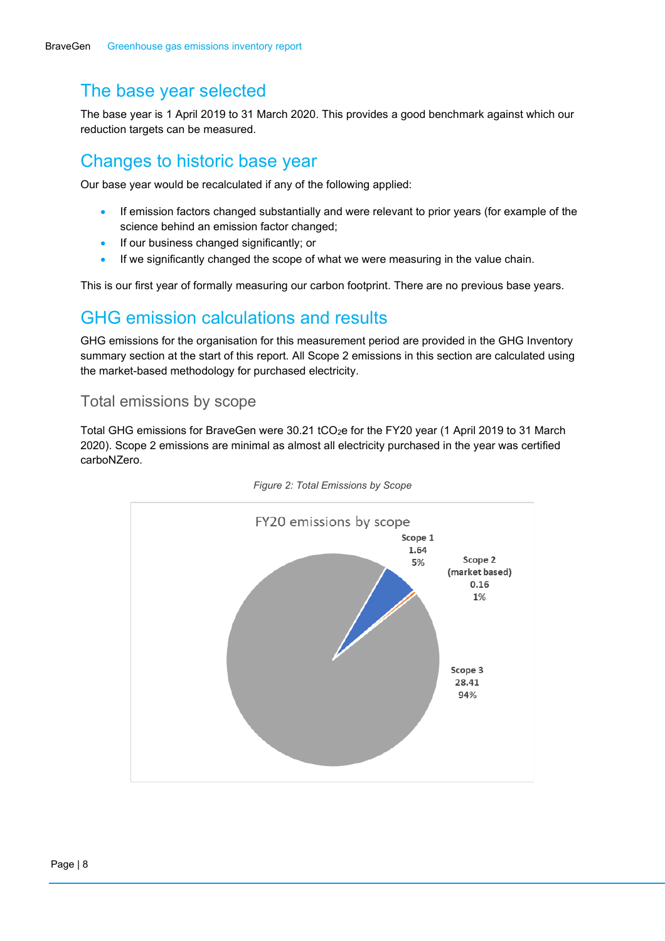# <span id="page-7-0"></span>The base year selected

The base year is 1 April 2019 to 31 March 2020. This provides a good benchmark against which our reduction targets can be measured.

## <span id="page-7-1"></span>Changes to historic base year

Our base year would be recalculated if any of the following applied:

- If emission factors changed substantially and were relevant to prior years (for example of the science behind an emission factor changed;
- If our business changed significantly; or
- If we significantly changed the scope of what we were measuring in the value chain.

This is our first year of formally measuring our carbon footprint. There are no previous base years.

## <span id="page-7-2"></span>GHG emission calculations and results

GHG emissions for the organisation for this measurement period are provided in the GHG Inventory summary section at the start of this report. All Scope 2 emissions in this section are calculated using the market-based methodology for purchased electricity.

#### <span id="page-7-3"></span>Total emissions by scope

Total GHG emissions for BraveGen were 30.21 tCO2e for the FY20 year (1 April 2019 to 31 March 2020). Scope 2 emissions are minimal as almost all electricity purchased in the year was certified carboNZero.

<span id="page-7-4"></span>

*Figure 2: Total Emissions by Scope*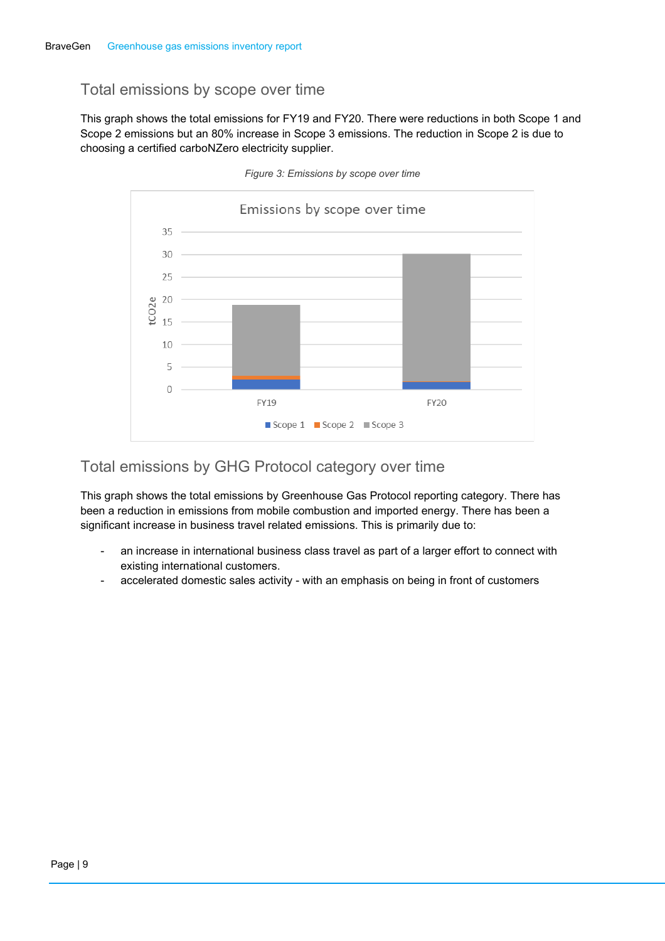#### <span id="page-8-0"></span>Total emissions by scope over time

This graph shows the total emissions for FY19 and FY20. There were reductions in both Scope 1 and Scope 2 emissions but an 80% increase in Scope 3 emissions. The reduction in Scope 2 is due to choosing a certified carboNZero electricity supplier.

<span id="page-8-2"></span>

*Figure 3: Emissions by scope over time*

#### <span id="page-8-1"></span>Total emissions by GHG Protocol category over time

This graph shows the total emissions by Greenhouse Gas Protocol reporting category. There has been a reduction in emissions from mobile combustion and imported energy. There has been a significant increase in business travel related emissions. This is primarily due to:

- an increase in international business class travel as part of a larger effort to connect with existing international customers.
- accelerated domestic sales activity with an emphasis on being in front of customers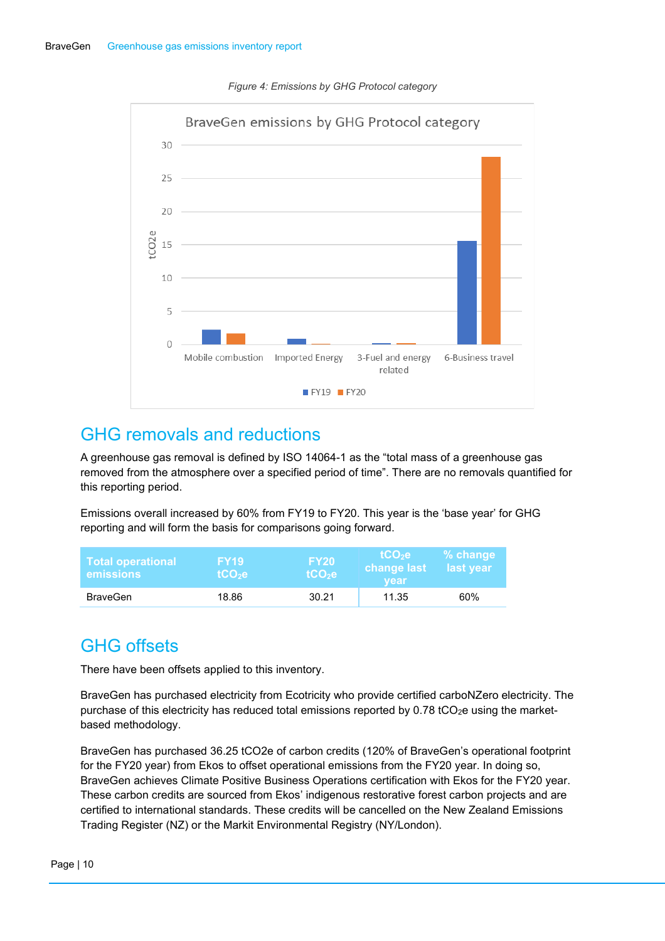<span id="page-9-2"></span>

#### *Figure 4: Emissions by GHG Protocol category*

#### <span id="page-9-0"></span>GHG removals and reductions

A greenhouse gas removal is defined by ISO 14064-1 as the "total mass of a greenhouse gas removed from the atmosphere over a specified period of time". There are no removals quantified for this reporting period.

Emissions overall increased by 60% from FY19 to FY20. This year is the 'base year' for GHG reporting and will form the basis for comparisons going forward.

| Total operational<br><b>emissions</b> | 7 FY 19 7<br>$tCO2$ e | <b>FY20</b><br>tCO <sub>2</sub> e | \tCO <sub>2</sub> e \<br>change last<br>vear | $%$ change<br>last year |
|---------------------------------------|-----------------------|-----------------------------------|----------------------------------------------|-------------------------|
| <b>BraveGen</b>                       | 18.86                 | 30.21                             | 11.35                                        | 60%                     |

# <span id="page-9-1"></span>GHG offsets

There have been offsets applied to this inventory.

BraveGen has purchased electricity from Ecotricity who provide certified carboNZero electricity. The purchase of this electricity has reduced total emissions reported by  $0.78$  tCO<sub>2</sub>e using the marketbased methodology.

BraveGen has purchased 36.25 tCO2e of carbon credits (120% of BraveGen's operational footprint for the FY20 year) from Ekos to offset operational emissions from the FY20 year. In doing so, BraveGen achieves Climate Positive Business Operations certification with Ekos for the FY20 year. These carbon credits are sourced from Ekos' indigenous restorative forest carbon projects and are certified to international standards. These credits will be cancelled on the New Zealand Emissions Trading Register (NZ) or the Markit Environmental Registry (NY/London).